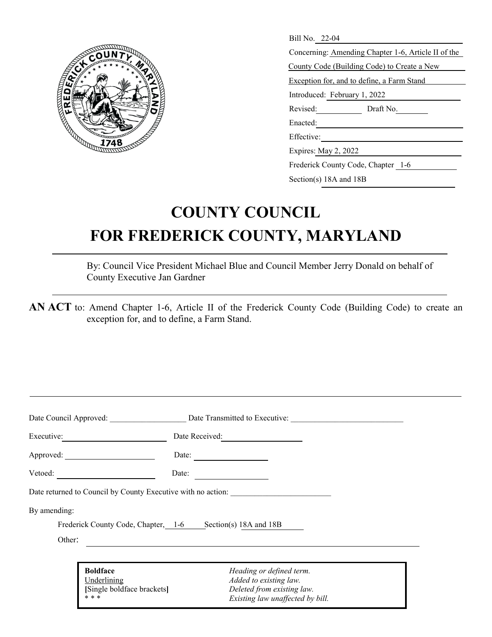

| Bill No. 22-04                                      |  |
|-----------------------------------------------------|--|
| Concerning: Amending Chapter 1-6, Article II of the |  |
|                                                     |  |
| County Code (Building Code) to Create a New         |  |
| Exception for, and to define, a Farm Stand          |  |
| Introduced: February 1, 2022                        |  |
| Revised:<br>Draft No.                               |  |
| Enacted:                                            |  |
| Effective:                                          |  |
| Expires: May 2, 2022                                |  |
| Frederick County Code, Chapter 1-6                  |  |

Section(s) 18A and 18B

## **COUNTY COUNCIL FOR FREDERICK COUNTY, MARYLAND**

By: Council Vice President Michael Blue and Council Member Jerry Donald on behalf of County Executive Jan Gardner

**AN ACT** to: Amend Chapter 1-6, Article II of the Frederick County Code (Building Code) to create an exception for, and to define, a Farm Stand.

|                            | Date Council Approved: Date Transmitted to Executive:        |  |
|----------------------------|--------------------------------------------------------------|--|
| Executive:                 | Date Received:                                               |  |
|                            | Date: $\qquad \qquad$                                        |  |
|                            | Date:                                                        |  |
|                            | Date returned to Council by County Executive with no action: |  |
| By amending:               |                                                              |  |
|                            | Frederick County Code, Chapter, 1-6 Section(s) 18A and 18B   |  |
| Other:                     | <u> 1989 - Johann John Stone, markin fizikar (</u>           |  |
|                            |                                                              |  |
| <b>Boldface</b>            | Heading or defined term.                                     |  |
| Underlining                | Added to existing law.                                       |  |
| [Single boldface brackets] | Deleted from existing law.                                   |  |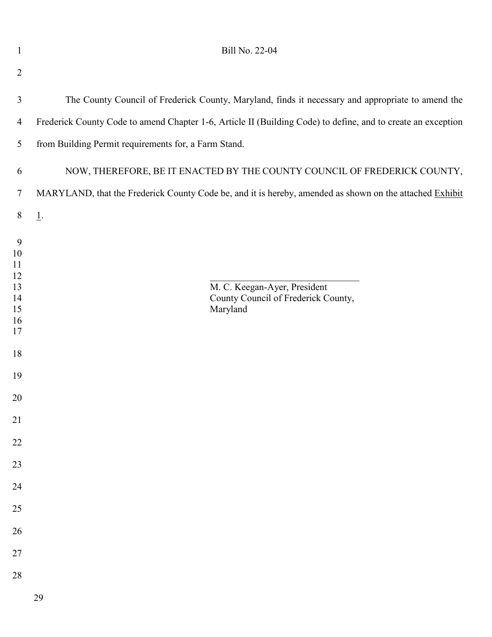| $\mathbf{1}$                                                                                                              | Bill No. 22-04                                                                                               |
|---------------------------------------------------------------------------------------------------------------------------|--------------------------------------------------------------------------------------------------------------|
| $\overline{2}$                                                                                                            |                                                                                                              |
| $\mathfrak{Z}$                                                                                                            | The County Council of Frederick County, Maryland, finds it necessary and appropriate to amend the            |
| $\overline{4}$                                                                                                            | Frederick County Code to amend Chapter 1-6, Article II (Building Code) to define, and to create an exception |
| $5\overline{)}$                                                                                                           | from Building Permit requirements for, a Farm Stand.                                                         |
| 6                                                                                                                         | NOW, THEREFORE, BE IT ENACTED BY THE COUNTY COUNCIL OF FREDERICK COUNTY,                                     |
| $\tau$                                                                                                                    | MARYLAND, that the Frederick County Code be, and it is hereby, amended as shown on the attached Exhibit      |
| 8                                                                                                                         | $\underline{1}.$                                                                                             |
| 9<br>10<br>11<br>12<br>13<br>14<br>15<br>16<br>17<br>18<br>19<br>20<br>21<br>$22\,$<br>$23\,$<br>24<br>25<br>$26\,$<br>27 | M. C. Keegan-Ayer, President<br>County Council of Frederick County,<br>Maryland                              |
| 28                                                                                                                        |                                                                                                              |
|                                                                                                                           | 29                                                                                                           |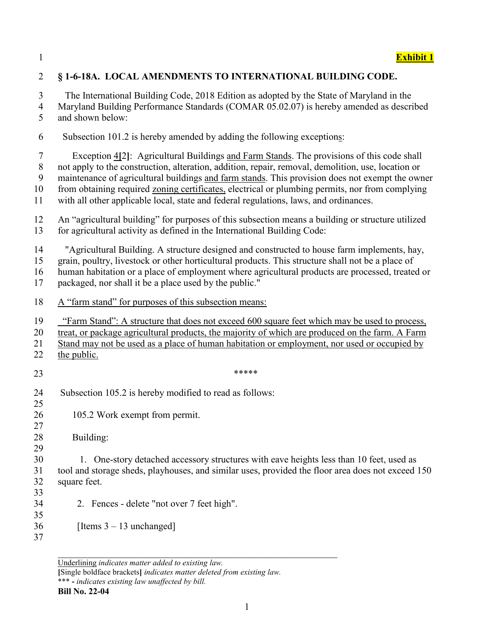| $\overline{2}$                             | §1-6-18A. LOCAL AMENDMENTS TO INTERNATIONAL BUILDING CODE.                                                                                                                                                                                                                                                                                                                                                                                                                                     |
|--------------------------------------------|------------------------------------------------------------------------------------------------------------------------------------------------------------------------------------------------------------------------------------------------------------------------------------------------------------------------------------------------------------------------------------------------------------------------------------------------------------------------------------------------|
| 3<br>$\overline{4}$<br>5                   | The International Building Code, 2018 Edition as adopted by the State of Maryland in the<br>Maryland Building Performance Standards (COMAR 05.02.07) is hereby amended as described<br>and shown below:                                                                                                                                                                                                                                                                                        |
| 6                                          | Subsection 101.2 is hereby amended by adding the following exceptions:                                                                                                                                                                                                                                                                                                                                                                                                                         |
| $\overline{7}$<br>$\,8\,$<br>9<br>10<br>11 | Exception 4[2]: Agricultural Buildings and Farm Stands. The provisions of this code shall<br>not apply to the construction, alteration, addition, repair, removal, demolition, use, location or<br>maintenance of agricultural buildings and farm stands. This provision does not exempt the owner<br>from obtaining required zoning certificates, electrical or plumbing permits, nor from complying<br>with all other applicable local, state and federal regulations, laws, and ordinances. |
| 12<br>13                                   | An "agricultural building" for purposes of this subsection means a building or structure utilized<br>for agricultural activity as defined in the International Building Code:                                                                                                                                                                                                                                                                                                                  |
| 14<br>15<br>16<br>17                       | "Agricultural Building. A structure designed and constructed to house farm implements, hay,<br>grain, poultry, livestock or other horticultural products. This structure shall not be a place of<br>human habitation or a place of employment where agricultural products are processed, treated or<br>packaged, nor shall it be a place used by the public."                                                                                                                                  |
| 18                                         | A "farm stand" for purposes of this subsection means:                                                                                                                                                                                                                                                                                                                                                                                                                                          |
| 19<br>20<br>21<br>22                       | "Farm Stand": A structure that does not exceed 600 square feet which may be used to process,<br>treat, or package agricultural products, the majority of which are produced on the farm. A Farm<br>Stand may not be used as a place of human habitation or employment, nor used or occupied by<br>the public.                                                                                                                                                                                  |
| 23                                         | *****                                                                                                                                                                                                                                                                                                                                                                                                                                                                                          |
| 24<br>25                                   | Subsection 105.2 is hereby modified to read as follows:                                                                                                                                                                                                                                                                                                                                                                                                                                        |
| 26<br>27                                   | 105.2 Work exempt from permit.                                                                                                                                                                                                                                                                                                                                                                                                                                                                 |
| 28<br>29                                   | Building:                                                                                                                                                                                                                                                                                                                                                                                                                                                                                      |
| 30<br>31<br>32<br>33                       | 1. One-story detached accessory structures with eave heights less than 10 feet, used as<br>tool and storage sheds, playhouses, and similar uses, provided the floor area does not exceed 150<br>square feet.                                                                                                                                                                                                                                                                                   |
| 34<br>35                                   | 2. Fences - delete "not over 7 feet high".                                                                                                                                                                                                                                                                                                                                                                                                                                                     |
| 36<br>37                                   | [Items $3 - 13$ unchanged]                                                                                                                                                                                                                                                                                                                                                                                                                                                                     |

Underlining *indicates matter added to existing law.* **[**Single boldface brackets**]** *indicates matter deleted from existing law.* \*\*\* **-** *indicates existing law unaffected by bill.*